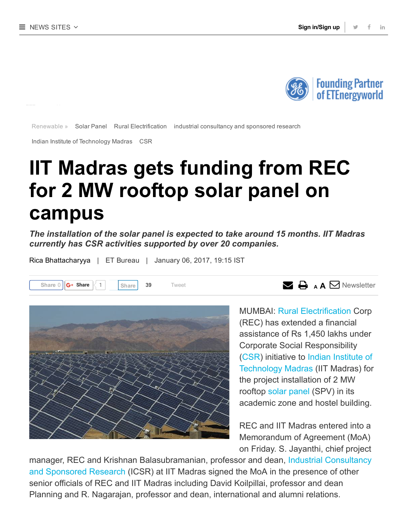

[Renewable](http://energy.economictimes.indiatimes.com/news/Renewable) » Solar [Panel](http://energy.economictimes.indiatimes.com/tag/solar+panel) Rural [Electrification](http://energy.economictimes.indiatimes.com/tag/rural+electrification) industrial [consultancy](http://energy.economictimes.indiatimes.com/tag/industrial+consultancy+and+sponsored+research) and sponsored research

Indian Institute of [Technology](http://energy.economictimes.indiatimes.com/tag/indian+institute+of+technology+madras) Madras [CSR](http://energy.economictimes.indiatimes.com/tag/csr)

## IIT Madras gets funding from REC for 2 MW rooftop solar panel on campus

The installation of the solar panel is expected to take around 15 months. IIT Madras currently has CSR activities supported by over 20 companies.

[Share](javascript:void(0);) 0  $G$  Share  $\begin{pmatrix} 1 & 39 \end{pmatrix}$  [Tweet](https://twitter.com/intent/tweet?original_referer=http%3A%2F%2Fenergy.economictimes.indiatimes.com%2Fnews%2Frenewable%2Fiit-madras-gets-funding-from-rec-for-2-mw-rooftop-solar-panel-on-campus%2F56377383&ref_src=twsrc%5Etfw&text=IIT%20Madras%20gets%20funding%20from%20REC%20for%202%20MW%20rooftop%20solar%20panel%20on%20campus%20%7C%20ET%20EnergyWorld%20&tw_p=tweetbutton&url=http%3A%2F%2Fenergy.economictimes.indiatimes.com%2Fnews%2Frenewable%2Fiit-madras-gets-funding-from-rec-for-2-mw-rooftop-solar-panel-on-campus%2F56377383) Tweet  $\begin{pmatrix} 1 & 3 \end{pmatrix}$  Tweet  $\begin{pmatrix} 1 & 3 \end{pmatrix}$  Tweet  $\begin{pmatrix} 1 & 3 \end{pmatrix}$  Tweet  $\begin{pmatrix} 1 & 3 \end{pmatrix}$  a  $\begin{pmatrix} 1 & 3 \end{pmatrix}$  [Newsletter](javascript:void(0);)

Rica [Bhattacharyya](http://energy.economictimes.indiatimes.com/author/479225191/rica-bhattacharyya) | ET Bureau | January 06, 2017, 19:15 IST



MUMBAI: Rural [Electrification](http://energy.economictimes.indiatimes.com/tag/rural+electrification) Corp (REC) has extended a financial assistance of Rs 1,450 lakhs under Corporate Social Responsibility ([CSR\)](http://energy.economictimes.indiatimes.com/tag/csr) initiative to Indian Institute of [Technology](http://energy.economictimes.indiatimes.com/tag/indian+institute+of+technology+madras) Madras (IIT Madras) for the project installation of 2 MW rooftop solar [panel](http://energy.economictimes.indiatimes.com/tag/solar+panel) (SPV) in its academic zone and hostel building.

REC and IIT Madras entered into a Memorandum of Agreement (MoA) on Friday. S. Jayanthi, chief project

manager, REC and Krishnan [Balasubramanian,](http://energy.economictimes.indiatimes.com/tag/industrial+consultancy+and+sponsored+research) professor and dean, Industrial Consultancy and Sponsored Research (ICSR) at IIT Madras signed the MoA in the presence of other senior officials of REC and IIT Madras including David Koilpillai, professor and dean Planning and R. Nagarajan, professor and dean, international and alumni relations.